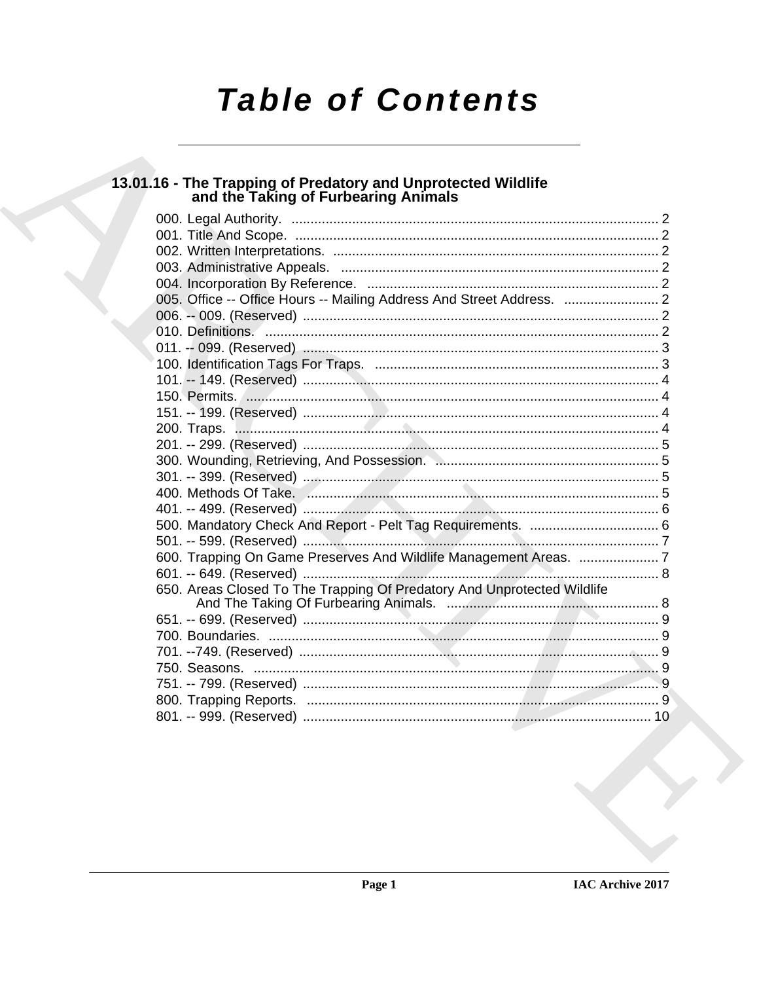# **Table of Contents**

# 13.01.16 - The Trapping of Predatory and Unprotected Wildlife<br>and the Taking of Furbearing Animals

| 005. Office -- Office Hours -- Mailing Address And Street Address.  2   |  |
|-------------------------------------------------------------------------|--|
|                                                                         |  |
|                                                                         |  |
|                                                                         |  |
|                                                                         |  |
|                                                                         |  |
|                                                                         |  |
|                                                                         |  |
|                                                                         |  |
|                                                                         |  |
|                                                                         |  |
|                                                                         |  |
|                                                                         |  |
|                                                                         |  |
|                                                                         |  |
|                                                                         |  |
| 600. Trapping On Game Preserves And Wildlife Management Areas.  7       |  |
|                                                                         |  |
| 650. Areas Closed To The Trapping Of Predatory And Unprotected Wildlife |  |
|                                                                         |  |
|                                                                         |  |
|                                                                         |  |
|                                                                         |  |
|                                                                         |  |
|                                                                         |  |
|                                                                         |  |
|                                                                         |  |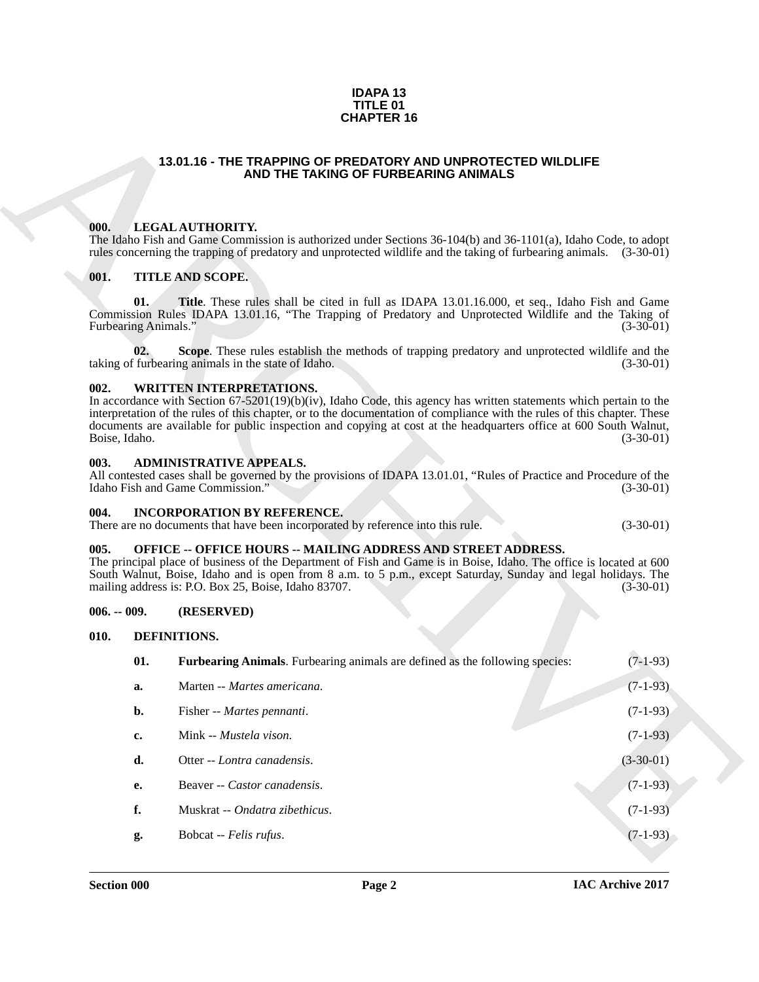#### **IDAPA 13 TITLE 01 CHAPTER 16**

#### **13.01.16 - THE TRAPPING OF PREDATORY AND UNPROTECTED WILDLIFE AND THE TAKING OF FURBEARING ANIMALS**

#### <span id="page-1-1"></span><span id="page-1-0"></span>**000. LEGAL AUTHORITY.**

#### <span id="page-1-2"></span>**001. TITLE AND SCOPE.**

#### <span id="page-1-3"></span>**002. WRITTEN INTERPRETATIONS.**

#### <span id="page-1-4"></span>**003. ADMINISTRATIVE APPEALS.**

#### <span id="page-1-5"></span>**004. INCORPORATION BY REFERENCE.**

|  | There are no documents that have been incorporated by reference into this rule. |  |  | $(3-30-01)$ |  |
|--|---------------------------------------------------------------------------------|--|--|-------------|--|
|--|---------------------------------------------------------------------------------|--|--|-------------|--|

#### <span id="page-1-6"></span>**005. OFFICE -- OFFICE HOURS -- MAILING ADDRESS AND STREET ADDRESS.**

#### <span id="page-1-7"></span>**006. -- 009. (RESERVED)**

#### <span id="page-1-10"></span><span id="page-1-9"></span><span id="page-1-8"></span>**010. DEFINITIONS.**

|                       |                             | <b>CHAPTER 16</b>                                                                                                                                                                                                                                                                                                                                                                                         |             |
|-----------------------|-----------------------------|-----------------------------------------------------------------------------------------------------------------------------------------------------------------------------------------------------------------------------------------------------------------------------------------------------------------------------------------------------------------------------------------------------------|-------------|
|                       |                             | 13.01.16 - THE TRAPPING OF PREDATORY AND UNPROTECTED WILDLIFE<br>AND THE TAKING OF FURBEARING ANIMALS                                                                                                                                                                                                                                                                                                     |             |
| 000.                  |                             | LEGAL AUTHORITY.<br>The Idaho Fish and Game Commission is authorized under Sections 36-104(b) and 36-1101(a), Idaho Code, to adopt<br>rules concerning the trapping of predatory and unprotected wildlife and the taking of furbearing animals. (3-30-01)                                                                                                                                                 |             |
| 001.                  |                             | <b>TITLE AND SCOPE.</b>                                                                                                                                                                                                                                                                                                                                                                                   |             |
|                       | 01.<br>Furbearing Animals." | <b>Title</b> . These rules shall be cited in full as IDAPA 13.01.16.000, et seq., Idaho Fish and Game<br>Commission Rules IDAPA 13.01.16, "The Trapping of Predatory and Unprotected Wildlife and the Taking of                                                                                                                                                                                           | $(3-30-01)$ |
|                       | 02.                         | Scope. These rules establish the methods of trapping predatory and unprotected wildlife and the<br>taking of furbearing animals in the state of Idaho.                                                                                                                                                                                                                                                    | $(3-30-01)$ |
| 002.<br>Boise, Idaho. |                             | <b>WRITTEN INTERPRETATIONS.</b><br>In accordance with Section $67-5201(19)(b)(iv)$ , Idaho Code, this agency has written statements which pertain to the<br>interpretation of the rules of this chapter, or to the documentation of compliance with the rules of this chapter. These<br>documents are available for public inspection and copying at cost at the headquarters office at 600 South Walnut, | $(3-30-01)$ |
| 003.                  |                             | <b>ADMINISTRATIVE APPEALS.</b><br>All contested cases shall be governed by the provisions of IDAPA 13.01.01, "Rules of Practice and Procedure of the<br>Idaho Fish and Game Commission."                                                                                                                                                                                                                  | $(3-30-01)$ |
| 004.                  |                             | <b>INCORPORATION BY REFERENCE.</b><br>There are no documents that have been incorporated by reference into this rule.                                                                                                                                                                                                                                                                                     | $(3-30-01)$ |
| 005.                  |                             | <b>OFFICE -- OFFICE HOURS -- MAILING ADDRESS AND STREET ADDRESS.</b><br>The principal place of business of the Department of Fish and Game is in Boise, Idaho. The office is located at 600<br>South Walnut, Boise, Idaho and is open from 8 a.m. to 5 p.m., except Saturday, Sunday and legal holidays. The<br>mailing address is: P.O. Box 25, Boise, Idaho 83707.                                      | $(3-30-01)$ |
| $006. - 009.$         |                             | (RESERVED)                                                                                                                                                                                                                                                                                                                                                                                                |             |
| 010.                  |                             | DEFINITIONS.                                                                                                                                                                                                                                                                                                                                                                                              |             |
|                       | 01.                         | Furbearing Animals. Furbearing animals are defined as the following species:                                                                                                                                                                                                                                                                                                                              | $(7-1-93)$  |
|                       | a.                          | Marten -- Martes americana.                                                                                                                                                                                                                                                                                                                                                                               | $(7-1-93)$  |
|                       | b.                          | Fisher -- Martes pennanti.                                                                                                                                                                                                                                                                                                                                                                                | $(7-1-93)$  |
|                       | c.                          | Mink -- Mustela vison.                                                                                                                                                                                                                                                                                                                                                                                    | $(7-1-93)$  |
|                       | d.                          | Otter -- Lontra canadensis.                                                                                                                                                                                                                                                                                                                                                                               | $(3-30-01)$ |
|                       | <b>e.</b>                   | Beaver -- Castor canadensis.                                                                                                                                                                                                                                                                                                                                                                              | $(7-1-93)$  |
|                       | f.                          | Muskrat -- Ondatra zibethicus.                                                                                                                                                                                                                                                                                                                                                                            | $(7-1-93)$  |
|                       | g.                          | Bobcat -- Felis rufus.                                                                                                                                                                                                                                                                                                                                                                                    | $(7-1-93)$  |
|                       |                             |                                                                                                                                                                                                                                                                                                                                                                                                           |             |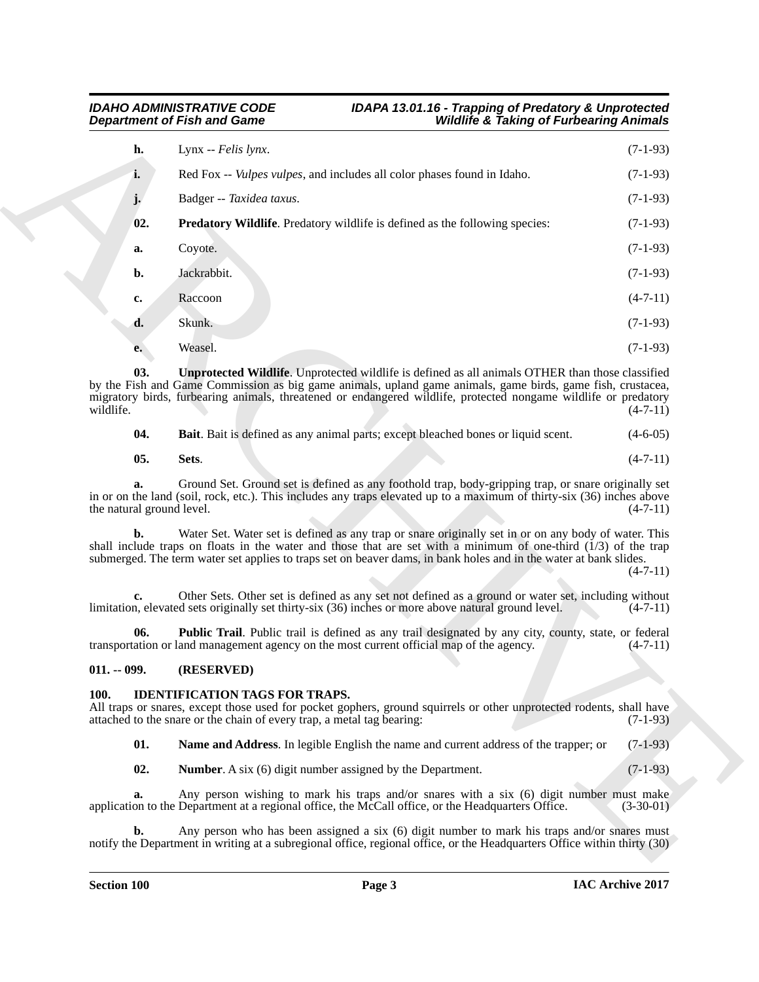### <span id="page-2-4"></span>*IDAHO ADMINISTRATIVE CODE IDAPA 13.01.16 - Trapping of Predatory & Unprotected Department of Fish and Game Wildlife & Taking of Furbearing Animals*

|                                 | <b>Department of Fish and Game</b><br><b>Wildlife &amp; Taking of Furbearing Animals</b>                                                                                                                                                                                                                                                       |             |
|---------------------------------|------------------------------------------------------------------------------------------------------------------------------------------------------------------------------------------------------------------------------------------------------------------------------------------------------------------------------------------------|-------------|
| h.                              | Lynx $-$ <i>Felis lynx</i> .                                                                                                                                                                                                                                                                                                                   | $(7-1-93)$  |
| i.                              | Red Fox -- <i>Vulpes vulpes</i> , and includes all color phases found in Idaho.                                                                                                                                                                                                                                                                | $(7-1-93)$  |
|                                 | Badger -- Taxidea taxus.                                                                                                                                                                                                                                                                                                                       | $(7-1-93)$  |
| 02.                             | <b>Predatory Wildlife.</b> Predatory wildlife is defined as the following species:                                                                                                                                                                                                                                                             | $(7-1-93)$  |
| a.                              | Coyote.                                                                                                                                                                                                                                                                                                                                        | $(7-1-93)$  |
| b.                              | Jackrabbit.                                                                                                                                                                                                                                                                                                                                    | $(7-1-93)$  |
| c.                              | Raccoon                                                                                                                                                                                                                                                                                                                                        | $(4-7-11)$  |
| d.                              | Skunk.                                                                                                                                                                                                                                                                                                                                         | $(7-1-93)$  |
| e.                              | Weasel.                                                                                                                                                                                                                                                                                                                                        | $(7-1-93)$  |
| 03.<br>wildlife.                | <b>Unprotected Wildlife.</b> Unprotected wildlife is defined as all animals OTHER than those classified<br>by the Fish and Game Commission as big game animals, upland game animals, game birds, game fish, crustacea,<br>migratory birds, furbearing animals, threatened or endangered wildlife, protected nongame wildlife or predatory      | $(4-7-11)$  |
| 04.                             | Bait. Bait is defined as any animal parts; except bleached bones or liquid scent.                                                                                                                                                                                                                                                              | $(4-6-05)$  |
| 05.                             | Sets.                                                                                                                                                                                                                                                                                                                                          | $(4-7-11)$  |
| a.<br>the natural ground level. | Ground Set. Ground set is defined as any foothold trap, body-gripping trap, or snare originally set<br>in or on the land (soil, rock, etc.). This includes any traps elevated up to a maximum of thirty-six (36) inches above                                                                                                                  | $(4-7-11)$  |
| b.                              | Water Set. Water set is defined as any trap or snare originally set in or on any body of water. This<br>shall include traps on floats in the water and those that are set with a minimum of one-third $(1/3)$ of the trap<br>submerged. The term water set applies to traps set on beaver dams, in bank holes and in the water at bank slides. | $(4-7-11)$  |
|                                 | Other Sets. Other set is defined as any set not defined as a ground or water set, including without<br>limitation, elevated sets originally set thirty-six (36) inches or more above natural ground level.                                                                                                                                     | $(4-7-11)$  |
| 06.                             | Public Trail. Public trail is defined as any trail designated by any city, county, state, or federal<br>transportation or land management agency on the most current official map of the agency.                                                                                                                                               | $(4-7-11)$  |
| $011. - 099.$                   | (RESERVED)                                                                                                                                                                                                                                                                                                                                     |             |
| <b>100.</b>                     | <b>IDENTIFICATION TAGS FOR TRAPS.</b><br>All traps or snares, except those used for pocket gophers, ground squirrels or other unprotected rodents, shall have<br>attached to the snare or the chain of every trap, a metal tag bearing:                                                                                                        | $(7-1-93)$  |
| 01.                             | Name and Address. In legible English the name and current address of the trapper; or                                                                                                                                                                                                                                                           | $(7-1-93)$  |
| 02.                             | <b>Number.</b> A six (6) digit number assigned by the Department.                                                                                                                                                                                                                                                                              | $(7-1-93)$  |
| a.                              | Any person wishing to mark his traps and/or snares with a six (6) digit number must make<br>application to the Department at a regional office, the McCall office, or the Headquarters Office.                                                                                                                                                 | $(3-30-01)$ |
|                                 |                                                                                                                                                                                                                                                                                                                                                |             |

<span id="page-2-9"></span><span id="page-2-8"></span><span id="page-2-7"></span><span id="page-2-6"></span><span id="page-2-2"></span>

| 04. | <b>Bait.</b> Bait is defined as any animal parts; except bleached bones or liquid scent. |  |  | $(4-6-05)$ |  |
|-----|------------------------------------------------------------------------------------------|--|--|------------|--|
|-----|------------------------------------------------------------------------------------------|--|--|------------|--|

#### <span id="page-2-5"></span><span id="page-2-3"></span><span id="page-2-0"></span>**011. -- 099. (RESERVED)**

#### <span id="page-2-12"></span><span id="page-2-11"></span><span id="page-2-10"></span><span id="page-2-1"></span>**100. IDENTIFICATION TAGS FOR TRAPS.**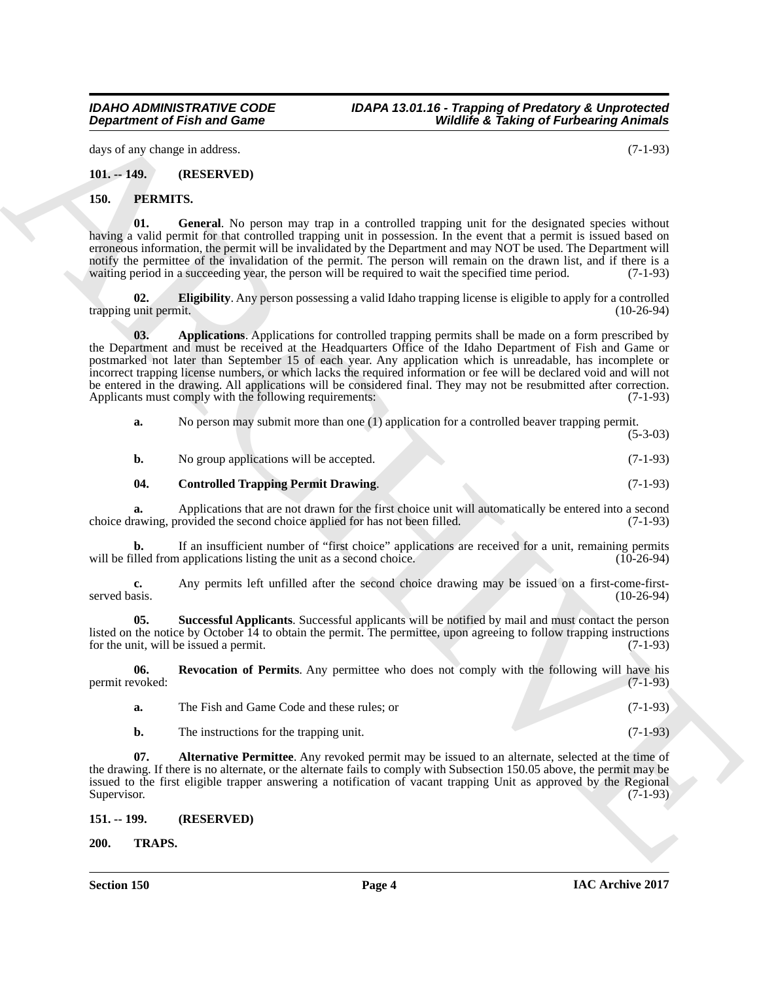*IDAHO ADMINISTRATIVE CODE IDAPA 13.01.16 - Trapping of Predatory & Unprotected Department of Fish and Game Wildlife & Taking of Furbearing Animals*

days of any change in address. (7-1-93)

<span id="page-3-0"></span>**101. -- 149. (RESERVED)**

#### <span id="page-3-9"></span><span id="page-3-4"></span><span id="page-3-1"></span>**150. PERMITS.**

**01. General**. No person may trap in a controlled trapping unit for the designated species without having a valid permit for that controlled trapping unit in possession. In the event that a permit is issued based on erroneous information, the permit will be invalidated by the Department and may NOT be used. The Department will notify the permittee of the invalidation of the permit. The person will remain on the drawn list, and if there is a waiting period in a succeeding year, the person will be required to wait the specified time period. (7-1-9 waiting period in a succeeding year, the person will be required to wait the specified time period.

<span id="page-3-8"></span><span id="page-3-6"></span>**02. Eligibility**. Any person possessing a valid Idaho trapping license is eligible to apply for a controlled trapping unit permit.

**Department of Fish and Game**<br>
Archives and Source in the state of the state of the state of the state of the state of the state of the state of the state of the state of the state of the state of the state of the state o **03. Applications**. Applications for controlled trapping permits shall be made on a form prescribed by the Department and must be received at the Headquarters Office of the Idaho Department of Fish and Game or postmarked not later than September 15 of each year. Any application which is unreadable, has incomplete or incorrect trapping license numbers, or which lacks the required information or fee will be declared void and will not be entered in the drawing. All applications will be considered final. They may not be resubmitted after correction. Applicants must comply with the following requirements: (7-1-93)

**a.** No person may submit more than one (1) application for a controlled beaver trapping permit.

| No group applications will be accepted. | $(7-1-93)$ |
|-----------------------------------------|------------|

## <span id="page-3-7"></span>**04. Controlled Trapping Permit Drawing**. (7-1-93)

**a.** Applications that are not drawn for the first choice unit will automatically be entered into a second choice applied for has not been filled. (7-1-93) choice drawing, provided the second choice applied for has not been filled.

**b.** If an insufficient number of "first choice" applications are received for a unit, remaining permits will be filled from applications listing the unit as a second choice. (10-26-94)

**c.** Any permits left unfilled after the second choice drawing may be issued on a first-come-first-<br>(10-26-94) served basis. (10-26-94)

<span id="page-3-11"></span>**05. Successful Applicants**. Successful applicants will be notified by mail and must contact the person listed on the notice by October 14 to obtain the permit. The permittee, upon agreeing to follow trapping instructions for the unit, will be issued a permit. (7-1-93)

**06. Revocation of Permits**. Any permittee who does not comply with the following will have his voked: (7-1-93) permit revoked:

<span id="page-3-10"></span><span id="page-3-5"></span>

| The Fish and Game Code and these rules: or | $(7-1-93)$ |
|--------------------------------------------|------------|
| The instructions for the trapping unit.    | $(7-1-93)$ |

**07. Alternative Permittee**. Any revoked permit may be issued to an alternate, selected at the time of the drawing. If there is no alternate, or the alternate fails to comply with Subsection 150.05 above, the permit may be issued to the first eligible trapper answering a notification of vacant trapping Unit as approved by the Regional Supervisor. (7-1-93)

<span id="page-3-2"></span>**151. -- 199. (RESERVED)**

<span id="page-3-12"></span><span id="page-3-3"></span>**200. TRAPS.**

(5-3-03)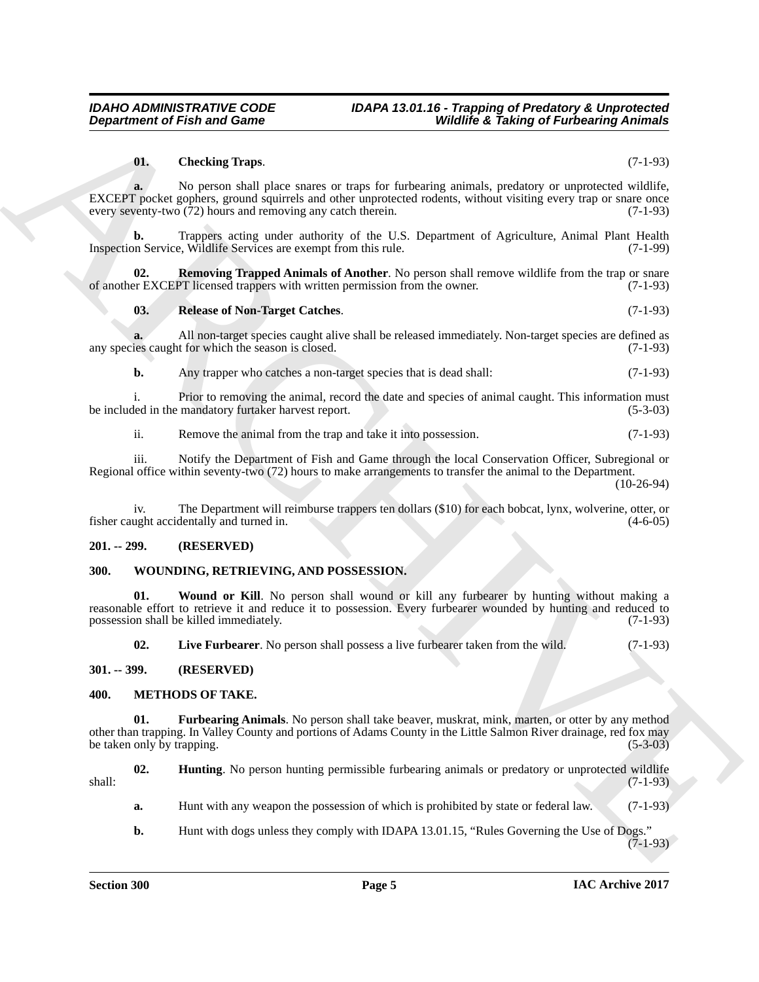#### <span id="page-4-7"></span>**01. Checking Traps**. (7-1-93)

**Department of Frish and Game**<br>
(**i.** Checking trajection and European interpretational probability is a state of the state of the state of the state of the state of the state interpretation of the state of the state of t **a.** No person shall place snares or traps for furbearing animals, predatory or unprotected wildlife, EXCEPT pocket gophers, ground squirrels and other unprotected rodents, without visiting every trap or snare once every seventy-two (72) hours and removing any catch therein. (7-1-93)

**b.** Trappers acting under authority of the U.S. Department of Agriculture, Animal Plant Health Inspection Service, Wildlife Services are exempt from this rule. (7-1-99)

**02. Removing Trapped Animals of Another**. No person shall remove wildlife from the trap or snare or EXCEPT licensed trappers with written permission from the owner. (7-1-93) of another EXCEPT licensed trappers with written permission from the owner.

#### <span id="page-4-9"></span><span id="page-4-8"></span>**03. Release of Non-Target Catches**. (7-1-93)

**a.** All non-target species caught alive shall be released immediately. Non-target species are defined as is caught for which the season is closed. (7-1-93) any species caught for which the season is closed.

**b.** Any trapper who catches a non-target species that is dead shall:  $(7-1-93)$ 

i. Prior to removing the animal, record the date and species of animal caught. This information must led in the mandatory furtaker harvest report. (5-3-03) be included in the mandatory furtaker harvest report.

ii. Remove the animal from the trap and take it into possession. (7-1-93)

iii. Notify the Department of Fish and Game through the local Conservation Officer, Subregional or Regional office within seventy-two (72) hours to make arrangements to transfer the animal to the Department. (10-26-94)

iv. The Department will reimburse trappers ten dollars (\$10) for each bobcat, lynx, wolverine, otter, or fisher caught accidentally and turned in. (4-6-05)

#### <span id="page-4-0"></span>**201. -- 299. (RESERVED)**

#### <span id="page-4-10"></span><span id="page-4-1"></span>**300. WOUNDING, RETRIEVING, AND POSSESSION.**

**01. Wound or Kill**. No person shall wound or kill any furbearer by hunting without making a reasonable effort to retrieve it and reduce it to possession. Every furbearer wounded by hunting and reduced to possession shall be killed immediately. (7-1-93)

<span id="page-4-12"></span><span id="page-4-11"></span><span id="page-4-5"></span><span id="page-4-4"></span>**02.** Live Furbearer. No person shall possess a live furbearer taken from the wild. (7-1-93)

#### <span id="page-4-2"></span>**301. -- 399. (RESERVED)**

#### <span id="page-4-3"></span>**400. METHODS OF TAKE.**

**01. Furbearing Animals**. No person shall take beaver, muskrat, mink, marten, or otter by any method other than trapping. In Valley County and portions of Adams County in the Little Salmon River drainage, red fox may<br>be taken only by trapping. (5-3-03) be taken only by trapping.

**02. Hunting**. No person hunting permissible furbearing animals or predatory or unprotected wildlife shall: (7-1-93)

<span id="page-4-6"></span>**a.** Hunt with any weapon the possession of which is prohibited by state or federal law. (7-1-93)

**b.** Hunt with dogs unless they comply with IDAPA 13.01.15, "Rules Governing the Use of Dogs." (7-1-93)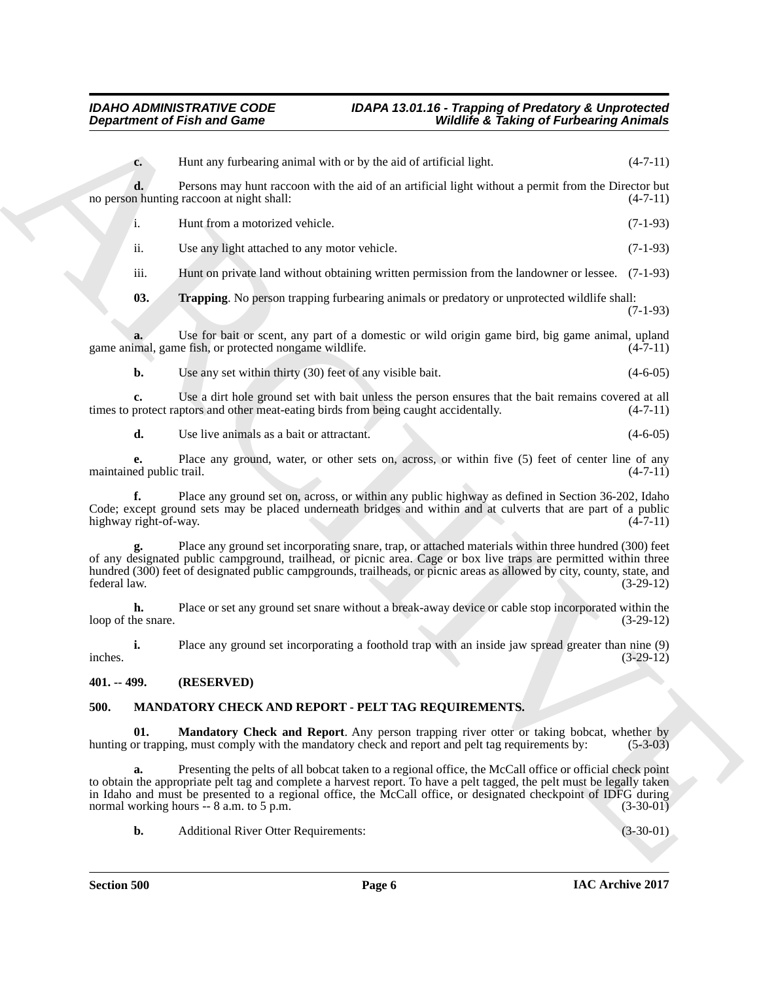### <span id="page-5-4"></span>*IDAHO ADMINISTRATIVE CODE IDAPA 13.01.16 - Trapping of Predatory & Unprotected Wildlife & Taking of Furbearing Animals*

|                                | <b>Department of Fish and Game</b>                                                                                                                                                                                                                                                                                                                    | <b>Wildlife &amp; Taking of Furbearing Animals</b> |             |
|--------------------------------|-------------------------------------------------------------------------------------------------------------------------------------------------------------------------------------------------------------------------------------------------------------------------------------------------------------------------------------------------------|----------------------------------------------------|-------------|
| $c_{\cdot}$                    | Hunt any furbearing animal with or by the aid of artificial light.                                                                                                                                                                                                                                                                                    |                                                    | $(4-7-11)$  |
| d.                             | Persons may hunt raccoon with the aid of an artificial light without a permit from the Director but<br>no person hunting raccoon at night shall:                                                                                                                                                                                                      |                                                    | $(4-7-11)$  |
| i.                             | Hunt from a motorized vehicle.                                                                                                                                                                                                                                                                                                                        |                                                    | $(7-1-93)$  |
| ii.                            | Use any light attached to any motor vehicle.                                                                                                                                                                                                                                                                                                          |                                                    | $(7-1-93)$  |
| iii.                           | Hunt on private land without obtaining written permission from the landowner or lessee. (7-1-93)                                                                                                                                                                                                                                                      |                                                    |             |
| 03.                            | <b>Trapping</b> . No person trapping furbearing animals or predatory or unprotected wildlife shall:                                                                                                                                                                                                                                                   |                                                    | $(7-1-93)$  |
|                                | Use for bait or scent, any part of a domestic or wild origin game bird, big game animal, upland<br>game animal, game fish, or protected nongame wildlife.                                                                                                                                                                                             |                                                    | $(4-7-11)$  |
| b.                             | Use any set within thirty (30) feet of any visible bait.                                                                                                                                                                                                                                                                                              |                                                    | $(4-6-05)$  |
| c.                             | Use a dirt hole ground set with bait unless the person ensures that the bait remains covered at all<br>times to protect raptors and other meat-eating birds from being caught accidentally.                                                                                                                                                           |                                                    | $(4-7-11)$  |
| d.                             | Use live animals as a bait or attractant.                                                                                                                                                                                                                                                                                                             |                                                    | $(4-6-05)$  |
| е.<br>maintained public trail. | Place any ground, water, or other sets on, across, or within five (5) feet of center line of any                                                                                                                                                                                                                                                      |                                                    | $(4-7-11)$  |
| f.<br>highway right-of-way.    | Place any ground set on, across, or within any public highway as defined in Section 36-202, Idaho<br>Code; except ground sets may be placed underneath bridges and within and at culverts that are part of a public                                                                                                                                   |                                                    | $(4-7-11)$  |
| federal law.                   | Place any ground set incorporating snare, trap, or attached materials within three hundred (300) feet<br>of any designated public campground, trailhead, or picnic area. Cage or box live traps are permitted within three<br>hundred (300) feet of designated public campgrounds, trailheads, or picnic areas as allowed by city, county, state, and |                                                    | $(3-29-12)$ |
| h.<br>loop of the snare.       | Place or set any ground set snare without a break-away device or cable stop incorporated within the                                                                                                                                                                                                                                                   |                                                    | $(3-29-12)$ |
| i.<br>inches.                  | Place any ground set incorporating a foothold trap with an inside jaw spread greater than nine (9)                                                                                                                                                                                                                                                    |                                                    | $(3-29-12)$ |
| 401. -- 499.                   | (RESERVED)                                                                                                                                                                                                                                                                                                                                            |                                                    |             |
| 500.                           | MANDATORY CHECK AND REPORT - PELT TAG REQUIREMENTS.                                                                                                                                                                                                                                                                                                   |                                                    |             |
| 01.                            | Mandatory Check and Report. Any person trapping river otter or taking bobcat, whether by<br>hunting or trapping, must comply with the mandatory check and report and pelt tag requirements by:                                                                                                                                                        |                                                    | $(5-3-03)$  |
| a.                             | Presenting the pelts of all bobcat taken to a regional office, the McCall office or official check point<br>to obtain the appropriate pelt tag and complete a harvest report. To have a pelt tagged, the pelt must be legally taken                                                                                                                   |                                                    |             |
|                                | in Idaho and must be presented to a regional office, the McCall office, or designated checkpoint of IDFG during<br>normal working hours -- 8 a.m. to 5 p.m.                                                                                                                                                                                           |                                                    | $(3-30-01)$ |

### <span id="page-5-3"></span><span id="page-5-2"></span><span id="page-5-1"></span><span id="page-5-0"></span>**500. MANDATORY CHECK AND REPORT - PELT TAG REQUIREMENTS.**

**Section 500 Page 6**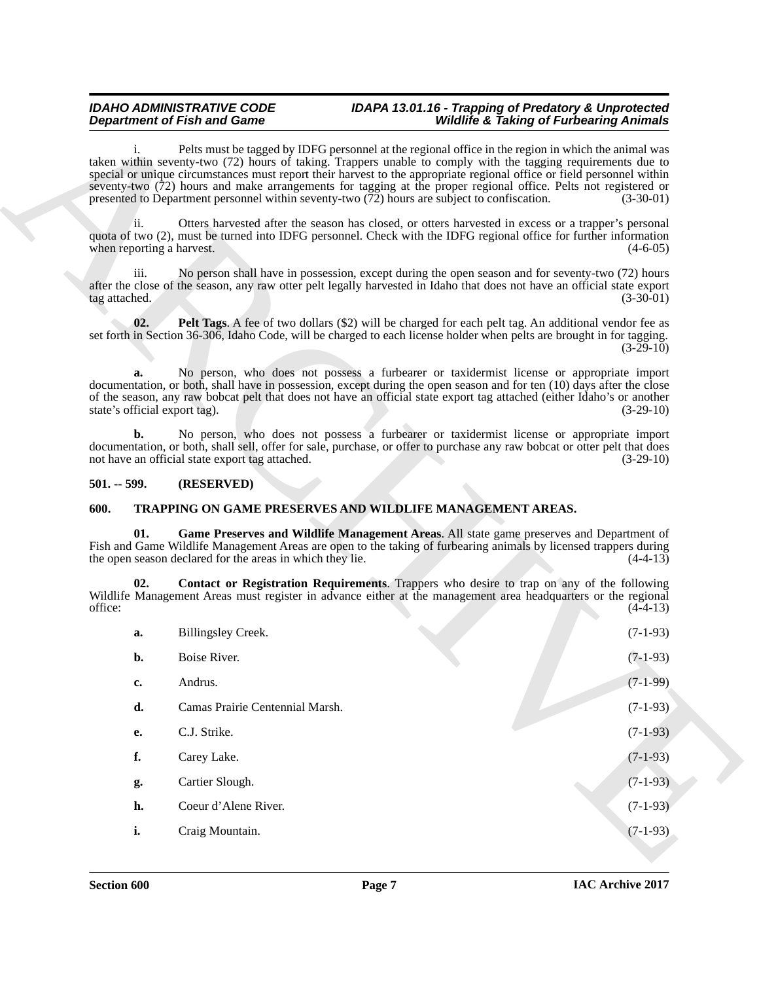#### *IDAHO ADMINISTRATIVE CODE IDAPA 13.01.16 - Trapping of Predatory & Unprotected Wildlife & Taking of Furbearing Animals*

#### <span id="page-6-2"></span><span id="page-6-0"></span>**501. -- 599. (RESERVED)**

### <span id="page-6-5"></span><span id="page-6-4"></span><span id="page-6-3"></span><span id="page-6-1"></span>**600. TRAPPING ON GAME PRESERVES AND WILDLIFE MANAGEMENT AREAS.**

| Pelts must be tagged by IDFG personnel at the regional office in the region in which the animal was<br>taken within seventy-two (72) hours of taking. Trappers unable to comply with the tagging requirements due to<br>special or unique circumstances must report their harvest to the appropriate regional office or field personnel within<br>seventy-two (72) hours and make arrangements for tagging at the proper regional office. Pelts not registered or<br>presented to Department personnel within seventy-two $(72)$ hours are subject to confiscation.<br>$(3-30-01)$<br>ii.<br>Otters harvested after the season has closed, or otters harvested in excess or a trapper's personal<br>quota of two (2), must be turned into IDFG personnel. Check with the IDFG regional office for further information<br>when reporting a harvest.<br>$(4-6-05)$<br>No person shall have in possession, except during the open season and for seventy-two (72) hours<br>iii.<br>after the close of the season, any raw otter pelt legally harvested in Idaho that does not have an official state export<br>tag attached.<br>$(3-30-01)$<br>Pelt Tags. A fee of two dollars (\$2) will be charged for each pelt tag. An additional vendor fee as<br>02.<br>set forth in Section 36-306, Idaho Code, will be charged to each license holder when pelts are brought in for tagging.<br>$(3-29-10)$<br>No person, who does not possess a furbearer or taxidermist license or appropriate import<br>a.<br>documentation, or both, shall have in possession, except during the open season and for ten (10) days after the close<br>of the season, any raw bobcat pelt that does not have an official state export tag attached (either Idaho's or another<br>state's official export tag).<br>$(3-29-10)$<br>No person, who does not possess a furbearer or taxidermist license or appropriate import<br>b.<br>documentation, or both, shall sell, offer for sale, purchase, or offer to purchase any raw bobcat or otter pelt that does<br>not have an official state export tag attached.<br>$(3-29-10)$<br>$501. - 599.$<br>(RESERVED)<br>TRAPPING ON GAME PRESERVES AND WILDLIFE MANAGEMENT AREAS.<br>600.<br>01.<br>Game Preserves and Wildlife Management Areas. All state game preserves and Department of<br>Fish and Game Wildlife Management Areas are open to the taking of furbearing animals by licensed trappers during<br>the open season declared for the areas in which they lie.<br>$(4-4-13)$<br>Contact or Registration Requirements. Trappers who desire to trap on any of the following<br>02.<br>Wildlife Management Areas must register in advance either at the management area headquarters or the regional<br>office:<br>$(4-4-13)$<br>Billingsley Creek.<br>$(7-1-93)$<br>a.<br>$(7-1-93)$<br>Boise River.<br>b.<br>$(7-1-99)$<br>Andrus.<br>c.<br>$(7-1-93)$<br>Camas Prairie Centennial Marsh.<br>d.<br>C.J. Strike.<br>$(7-1-93)$<br><b>e.</b><br>f.<br>$(7-1-93)$<br>Carey Lake.<br>$(7-1-93)$<br>Cartier Slough.<br>g.<br>$(7-1-93)$<br>h.<br>Coeur d'Alene River.<br>$(7-1-93)$<br>i.<br>Craig Mountain. |  | <b>Department of Fish and Game</b> | <b>Wildlife &amp; Taking of Furbearing Animals</b> |  |
|----------------------------------------------------------------------------------------------------------------------------------------------------------------------------------------------------------------------------------------------------------------------------------------------------------------------------------------------------------------------------------------------------------------------------------------------------------------------------------------------------------------------------------------------------------------------------------------------------------------------------------------------------------------------------------------------------------------------------------------------------------------------------------------------------------------------------------------------------------------------------------------------------------------------------------------------------------------------------------------------------------------------------------------------------------------------------------------------------------------------------------------------------------------------------------------------------------------------------------------------------------------------------------------------------------------------------------------------------------------------------------------------------------------------------------------------------------------------------------------------------------------------------------------------------------------------------------------------------------------------------------------------------------------------------------------------------------------------------------------------------------------------------------------------------------------------------------------------------------------------------------------------------------------------------------------------------------------------------------------------------------------------------------------------------------------------------------------------------------------------------------------------------------------------------------------------------------------------------------------------------------------------------------------------------------------------------------------------------------------------------------------------------------------------------------------------------------------------------------------------------------------------------------------------------------------------------------------------------------------------------------------------------------------------------------------------------------------------------------------------------------------------------------------------------------------------------------------------------------------------------------------------------------------------------------------------------------------------------------------------------------------------------------------------------------------------------------------------------------------------------------------|--|------------------------------------|----------------------------------------------------|--|
|                                                                                                                                                                                                                                                                                                                                                                                                                                                                                                                                                                                                                                                                                                                                                                                                                                                                                                                                                                                                                                                                                                                                                                                                                                                                                                                                                                                                                                                                                                                                                                                                                                                                                                                                                                                                                                                                                                                                                                                                                                                                                                                                                                                                                                                                                                                                                                                                                                                                                                                                                                                                                                                                                                                                                                                                                                                                                                                                                                                                                                                                                                                                        |  |                                    |                                                    |  |
|                                                                                                                                                                                                                                                                                                                                                                                                                                                                                                                                                                                                                                                                                                                                                                                                                                                                                                                                                                                                                                                                                                                                                                                                                                                                                                                                                                                                                                                                                                                                                                                                                                                                                                                                                                                                                                                                                                                                                                                                                                                                                                                                                                                                                                                                                                                                                                                                                                                                                                                                                                                                                                                                                                                                                                                                                                                                                                                                                                                                                                                                                                                                        |  |                                    |                                                    |  |
|                                                                                                                                                                                                                                                                                                                                                                                                                                                                                                                                                                                                                                                                                                                                                                                                                                                                                                                                                                                                                                                                                                                                                                                                                                                                                                                                                                                                                                                                                                                                                                                                                                                                                                                                                                                                                                                                                                                                                                                                                                                                                                                                                                                                                                                                                                                                                                                                                                                                                                                                                                                                                                                                                                                                                                                                                                                                                                                                                                                                                                                                                                                                        |  |                                    |                                                    |  |
|                                                                                                                                                                                                                                                                                                                                                                                                                                                                                                                                                                                                                                                                                                                                                                                                                                                                                                                                                                                                                                                                                                                                                                                                                                                                                                                                                                                                                                                                                                                                                                                                                                                                                                                                                                                                                                                                                                                                                                                                                                                                                                                                                                                                                                                                                                                                                                                                                                                                                                                                                                                                                                                                                                                                                                                                                                                                                                                                                                                                                                                                                                                                        |  |                                    |                                                    |  |
|                                                                                                                                                                                                                                                                                                                                                                                                                                                                                                                                                                                                                                                                                                                                                                                                                                                                                                                                                                                                                                                                                                                                                                                                                                                                                                                                                                                                                                                                                                                                                                                                                                                                                                                                                                                                                                                                                                                                                                                                                                                                                                                                                                                                                                                                                                                                                                                                                                                                                                                                                                                                                                                                                                                                                                                                                                                                                                                                                                                                                                                                                                                                        |  |                                    |                                                    |  |
|                                                                                                                                                                                                                                                                                                                                                                                                                                                                                                                                                                                                                                                                                                                                                                                                                                                                                                                                                                                                                                                                                                                                                                                                                                                                                                                                                                                                                                                                                                                                                                                                                                                                                                                                                                                                                                                                                                                                                                                                                                                                                                                                                                                                                                                                                                                                                                                                                                                                                                                                                                                                                                                                                                                                                                                                                                                                                                                                                                                                                                                                                                                                        |  |                                    |                                                    |  |
|                                                                                                                                                                                                                                                                                                                                                                                                                                                                                                                                                                                                                                                                                                                                                                                                                                                                                                                                                                                                                                                                                                                                                                                                                                                                                                                                                                                                                                                                                                                                                                                                                                                                                                                                                                                                                                                                                                                                                                                                                                                                                                                                                                                                                                                                                                                                                                                                                                                                                                                                                                                                                                                                                                                                                                                                                                                                                                                                                                                                                                                                                                                                        |  |                                    |                                                    |  |
|                                                                                                                                                                                                                                                                                                                                                                                                                                                                                                                                                                                                                                                                                                                                                                                                                                                                                                                                                                                                                                                                                                                                                                                                                                                                                                                                                                                                                                                                                                                                                                                                                                                                                                                                                                                                                                                                                                                                                                                                                                                                                                                                                                                                                                                                                                                                                                                                                                                                                                                                                                                                                                                                                                                                                                                                                                                                                                                                                                                                                                                                                                                                        |  |                                    |                                                    |  |
|                                                                                                                                                                                                                                                                                                                                                                                                                                                                                                                                                                                                                                                                                                                                                                                                                                                                                                                                                                                                                                                                                                                                                                                                                                                                                                                                                                                                                                                                                                                                                                                                                                                                                                                                                                                                                                                                                                                                                                                                                                                                                                                                                                                                                                                                                                                                                                                                                                                                                                                                                                                                                                                                                                                                                                                                                                                                                                                                                                                                                                                                                                                                        |  |                                    |                                                    |  |
|                                                                                                                                                                                                                                                                                                                                                                                                                                                                                                                                                                                                                                                                                                                                                                                                                                                                                                                                                                                                                                                                                                                                                                                                                                                                                                                                                                                                                                                                                                                                                                                                                                                                                                                                                                                                                                                                                                                                                                                                                                                                                                                                                                                                                                                                                                                                                                                                                                                                                                                                                                                                                                                                                                                                                                                                                                                                                                                                                                                                                                                                                                                                        |  |                                    |                                                    |  |
|                                                                                                                                                                                                                                                                                                                                                                                                                                                                                                                                                                                                                                                                                                                                                                                                                                                                                                                                                                                                                                                                                                                                                                                                                                                                                                                                                                                                                                                                                                                                                                                                                                                                                                                                                                                                                                                                                                                                                                                                                                                                                                                                                                                                                                                                                                                                                                                                                                                                                                                                                                                                                                                                                                                                                                                                                                                                                                                                                                                                                                                                                                                                        |  |                                    |                                                    |  |
|                                                                                                                                                                                                                                                                                                                                                                                                                                                                                                                                                                                                                                                                                                                                                                                                                                                                                                                                                                                                                                                                                                                                                                                                                                                                                                                                                                                                                                                                                                                                                                                                                                                                                                                                                                                                                                                                                                                                                                                                                                                                                                                                                                                                                                                                                                                                                                                                                                                                                                                                                                                                                                                                                                                                                                                                                                                                                                                                                                                                                                                                                                                                        |  |                                    |                                                    |  |
|                                                                                                                                                                                                                                                                                                                                                                                                                                                                                                                                                                                                                                                                                                                                                                                                                                                                                                                                                                                                                                                                                                                                                                                                                                                                                                                                                                                                                                                                                                                                                                                                                                                                                                                                                                                                                                                                                                                                                                                                                                                                                                                                                                                                                                                                                                                                                                                                                                                                                                                                                                                                                                                                                                                                                                                                                                                                                                                                                                                                                                                                                                                                        |  |                                    |                                                    |  |
|                                                                                                                                                                                                                                                                                                                                                                                                                                                                                                                                                                                                                                                                                                                                                                                                                                                                                                                                                                                                                                                                                                                                                                                                                                                                                                                                                                                                                                                                                                                                                                                                                                                                                                                                                                                                                                                                                                                                                                                                                                                                                                                                                                                                                                                                                                                                                                                                                                                                                                                                                                                                                                                                                                                                                                                                                                                                                                                                                                                                                                                                                                                                        |  |                                    |                                                    |  |
|                                                                                                                                                                                                                                                                                                                                                                                                                                                                                                                                                                                                                                                                                                                                                                                                                                                                                                                                                                                                                                                                                                                                                                                                                                                                                                                                                                                                                                                                                                                                                                                                                                                                                                                                                                                                                                                                                                                                                                                                                                                                                                                                                                                                                                                                                                                                                                                                                                                                                                                                                                                                                                                                                                                                                                                                                                                                                                                                                                                                                                                                                                                                        |  |                                    |                                                    |  |
|                                                                                                                                                                                                                                                                                                                                                                                                                                                                                                                                                                                                                                                                                                                                                                                                                                                                                                                                                                                                                                                                                                                                                                                                                                                                                                                                                                                                                                                                                                                                                                                                                                                                                                                                                                                                                                                                                                                                                                                                                                                                                                                                                                                                                                                                                                                                                                                                                                                                                                                                                                                                                                                                                                                                                                                                                                                                                                                                                                                                                                                                                                                                        |  |                                    |                                                    |  |
|                                                                                                                                                                                                                                                                                                                                                                                                                                                                                                                                                                                                                                                                                                                                                                                                                                                                                                                                                                                                                                                                                                                                                                                                                                                                                                                                                                                                                                                                                                                                                                                                                                                                                                                                                                                                                                                                                                                                                                                                                                                                                                                                                                                                                                                                                                                                                                                                                                                                                                                                                                                                                                                                                                                                                                                                                                                                                                                                                                                                                                                                                                                                        |  |                                    |                                                    |  |
|                                                                                                                                                                                                                                                                                                                                                                                                                                                                                                                                                                                                                                                                                                                                                                                                                                                                                                                                                                                                                                                                                                                                                                                                                                                                                                                                                                                                                                                                                                                                                                                                                                                                                                                                                                                                                                                                                                                                                                                                                                                                                                                                                                                                                                                                                                                                                                                                                                                                                                                                                                                                                                                                                                                                                                                                                                                                                                                                                                                                                                                                                                                                        |  |                                    |                                                    |  |
|                                                                                                                                                                                                                                                                                                                                                                                                                                                                                                                                                                                                                                                                                                                                                                                                                                                                                                                                                                                                                                                                                                                                                                                                                                                                                                                                                                                                                                                                                                                                                                                                                                                                                                                                                                                                                                                                                                                                                                                                                                                                                                                                                                                                                                                                                                                                                                                                                                                                                                                                                                                                                                                                                                                                                                                                                                                                                                                                                                                                                                                                                                                                        |  |                                    |                                                    |  |
|                                                                                                                                                                                                                                                                                                                                                                                                                                                                                                                                                                                                                                                                                                                                                                                                                                                                                                                                                                                                                                                                                                                                                                                                                                                                                                                                                                                                                                                                                                                                                                                                                                                                                                                                                                                                                                                                                                                                                                                                                                                                                                                                                                                                                                                                                                                                                                                                                                                                                                                                                                                                                                                                                                                                                                                                                                                                                                                                                                                                                                                                                                                                        |  |                                    |                                                    |  |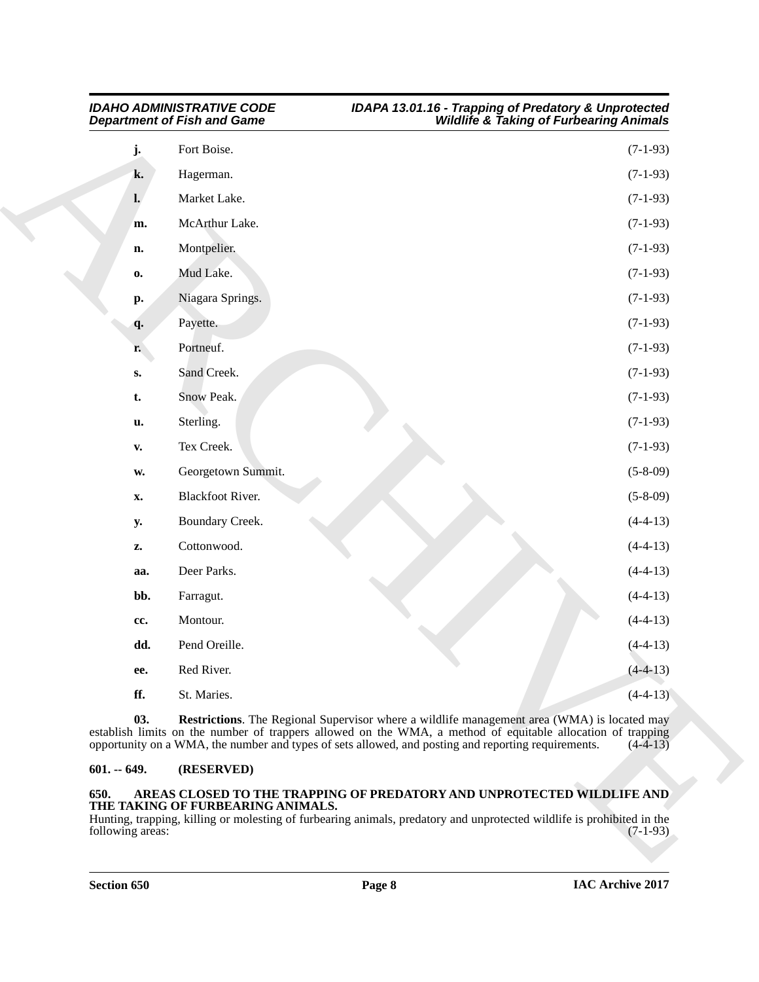| Fort Boise.<br>j.<br>k.<br>Hagerman.<br>Market Lake.<br>$\mathbf{l}$ .<br>McArthur Lake.<br>m.<br>Montpelier.<br>n.<br>Mud Lake.<br>0.<br>Niagara Springs.<br>p.<br>Payette.<br>q.<br>Portneuf.<br>r.<br>Sand Creek.<br>$\mathbf{S}$ .<br>Snow Peak.<br>t.<br>Sterling.<br>u.<br>Tex Creek.<br>$\mathbf{v}$ .<br>Georgetown Summit.<br>$\mathbf{W}_\bullet$<br><b>Blackfoot River.</b><br>X.<br>Boundary Creek.<br><b>y.</b> | $(7-1-93)$<br>$(7-1-93)$<br>$(7-1-93)$<br>$(7-1-93)$<br>$(7-1-93)$<br>$(7-1-93)$<br>$(7-1-93)$<br>$(7-1-93)$<br>$(7-1-93)$<br>$(7-1-93)$<br>$(7-1-93)$<br>$(7-1-93)$ |
|------------------------------------------------------------------------------------------------------------------------------------------------------------------------------------------------------------------------------------------------------------------------------------------------------------------------------------------------------------------------------------------------------------------------------|----------------------------------------------------------------------------------------------------------------------------------------------------------------------|
|                                                                                                                                                                                                                                                                                                                                                                                                                              |                                                                                                                                                                      |
|                                                                                                                                                                                                                                                                                                                                                                                                                              |                                                                                                                                                                      |
|                                                                                                                                                                                                                                                                                                                                                                                                                              |                                                                                                                                                                      |
|                                                                                                                                                                                                                                                                                                                                                                                                                              |                                                                                                                                                                      |
|                                                                                                                                                                                                                                                                                                                                                                                                                              |                                                                                                                                                                      |
|                                                                                                                                                                                                                                                                                                                                                                                                                              |                                                                                                                                                                      |
|                                                                                                                                                                                                                                                                                                                                                                                                                              |                                                                                                                                                                      |
|                                                                                                                                                                                                                                                                                                                                                                                                                              |                                                                                                                                                                      |
|                                                                                                                                                                                                                                                                                                                                                                                                                              |                                                                                                                                                                      |
|                                                                                                                                                                                                                                                                                                                                                                                                                              |                                                                                                                                                                      |
|                                                                                                                                                                                                                                                                                                                                                                                                                              |                                                                                                                                                                      |
|                                                                                                                                                                                                                                                                                                                                                                                                                              |                                                                                                                                                                      |
|                                                                                                                                                                                                                                                                                                                                                                                                                              | $(7-1-93)$                                                                                                                                                           |
|                                                                                                                                                                                                                                                                                                                                                                                                                              | $(5 - 8 - 09)$                                                                                                                                                       |
|                                                                                                                                                                                                                                                                                                                                                                                                                              | $(5-8-09)$                                                                                                                                                           |
|                                                                                                                                                                                                                                                                                                                                                                                                                              | $(4-4-13)$                                                                                                                                                           |
| Cottonwood.<br>z.                                                                                                                                                                                                                                                                                                                                                                                                            | $(4-4-13)$                                                                                                                                                           |
| Deer Parks.<br>aa.                                                                                                                                                                                                                                                                                                                                                                                                           | $(4-4-13)$                                                                                                                                                           |
| bb.<br>Farragut.                                                                                                                                                                                                                                                                                                                                                                                                             | $(4-4-13)$                                                                                                                                                           |
| Montour.<br>cc.                                                                                                                                                                                                                                                                                                                                                                                                              | $(4-4-13)$                                                                                                                                                           |
| dd.<br>Pend Oreille.                                                                                                                                                                                                                                                                                                                                                                                                         | $(4-4-13)$                                                                                                                                                           |
| Red River.<br>ee.                                                                                                                                                                                                                                                                                                                                                                                                            | $(4-4-13)$                                                                                                                                                           |
| ff.<br>St. Maries.                                                                                                                                                                                                                                                                                                                                                                                                           | $(4-4-13)$                                                                                                                                                           |
| 03.<br><b>Restrictions</b> . The Regional Supervisor where a wildlife management area (WMA) is located may<br>establish limits on the number of trappers allowed on the WMA, a method of equitable allocation of trapping<br>opportunity on a WMA, the number and types of sets allowed, and posting and reporting requirements.                                                                                             | $(4-4-13)$                                                                                                                                                           |
| (RESERVED)<br>$601. - 649.$                                                                                                                                                                                                                                                                                                                                                                                                  |                                                                                                                                                                      |

#### <span id="page-7-3"></span><span id="page-7-0"></span>**601. -- 649. (RESERVED)**

### <span id="page-7-2"></span><span id="page-7-1"></span>**650. AREAS CLOSED TO THE TRAPPING OF PREDATORY AND UNPROTECTED WILDLIFE AND THE TAKING OF FURBEARING ANIMALS.**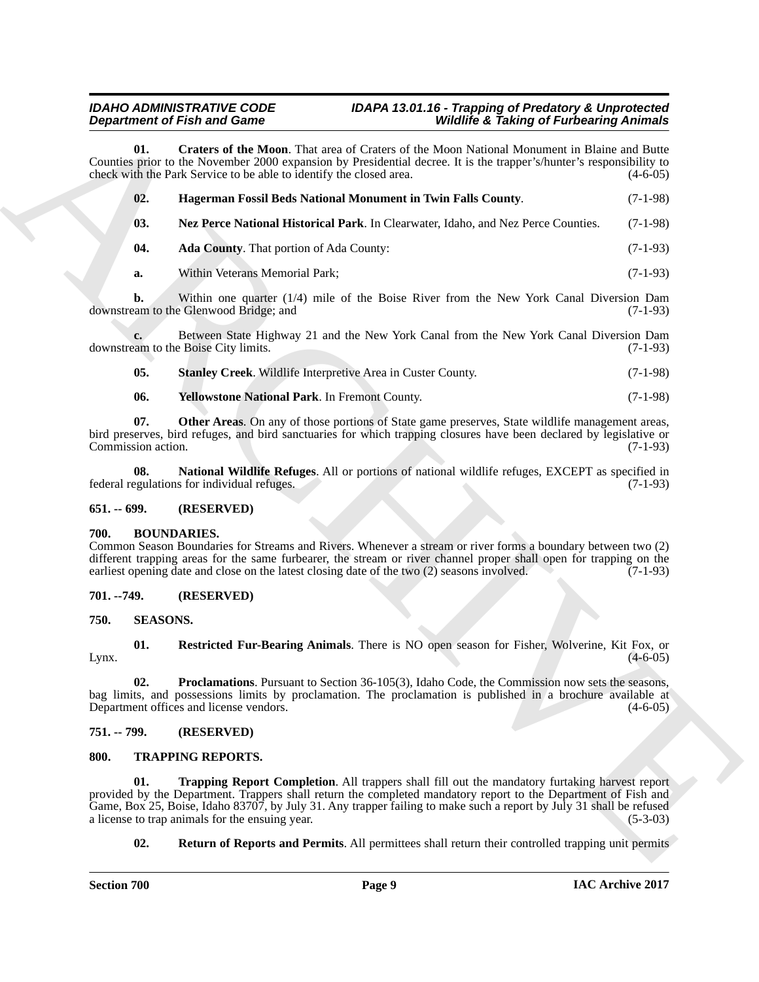#### <span id="page-8-10"></span><span id="page-8-8"></span><span id="page-8-7"></span><span id="page-8-6"></span>*IDAHO ADMINISTRATIVE CODE IDAPA 13.01.16 - Trapping of Predatory & Unprotected* **Wildlife & Taking of Furbearing Animals**

| <b>Department of Fish and Game</b> |                                                                                                                                                                                                                                                                                                                                                         |                                                                                                       | <b>Wildlife &amp; Taking of Furbearing Animals</b> |  |
|------------------------------------|---------------------------------------------------------------------------------------------------------------------------------------------------------------------------------------------------------------------------------------------------------------------------------------------------------------------------------------------------------|-------------------------------------------------------------------------------------------------------|----------------------------------------------------|--|
| 01.                                | Counties prior to the November 2000 expansion by Presidential decree. It is the trapper's/hunter's responsibility to<br>check with the Park Service to be able to identify the closed area.                                                                                                                                                             | Craters of the Moon. That area of Craters of the Moon National Monument in Blaine and Butte           | $(4-6-05)$                                         |  |
| 02.                                | Hagerman Fossil Beds National Monument in Twin Falls County.                                                                                                                                                                                                                                                                                            |                                                                                                       | $(7-1-98)$                                         |  |
| 03.                                |                                                                                                                                                                                                                                                                                                                                                         | Nez Perce National Historical Park. In Clearwater, Idaho, and Nez Perce Counties.                     | $(7-1-98)$                                         |  |
| 04.                                | <b>Ada County.</b> That portion of Ada County:                                                                                                                                                                                                                                                                                                          |                                                                                                       | $(7-1-93)$                                         |  |
| a.                                 | Within Veterans Memorial Park;                                                                                                                                                                                                                                                                                                                          |                                                                                                       | $(7-1-93)$                                         |  |
| b.                                 | downstream to the Glenwood Bridge; and                                                                                                                                                                                                                                                                                                                  | Within one quarter (1/4) mile of the Boise River from the New York Canal Diversion Dam                | $(7-1-93)$                                         |  |
|                                    | downstream to the Boise City limits.                                                                                                                                                                                                                                                                                                                    | Between State Highway 21 and the New York Canal from the New York Canal Diversion Dam                 | $(7-1-93)$                                         |  |
| 05.                                | Stanley Creek. Wildlife Interpretive Area in Custer County.                                                                                                                                                                                                                                                                                             |                                                                                                       | $(7-1-98)$                                         |  |
| 06.                                | Yellowstone National Park. In Fremont County.                                                                                                                                                                                                                                                                                                           |                                                                                                       | $(7-1-98)$                                         |  |
| 07.<br>Commission action.          | bird preserves, bird refuges, and bird sanctuaries for which trapping closures have been declared by legislative or                                                                                                                                                                                                                                     | Other Areas. On any of those portions of State game preserves, State wildlife management areas,       | $(7-1-93)$                                         |  |
| 08.                                | federal regulations for individual refuges.                                                                                                                                                                                                                                                                                                             | National Wildlife Refuges. All or portions of national wildlife refuges, EXCEPT as specified in       | $(7-1-93)$                                         |  |
| $651 - 699.$                       | (RESERVED)                                                                                                                                                                                                                                                                                                                                              |                                                                                                       |                                                    |  |
| 700.                               | <b>BOUNDARIES.</b><br>Common Season Boundaries for Streams and Rivers. Whenever a stream or river forms a boundary between two (2)<br>different trapping areas for the same furbearer, the stream or river channel proper shall open for trapping on the<br>earliest opening date and close on the latest closing date of the two (2) seasons involved. |                                                                                                       | $(7-1-93)$                                         |  |
| 701. -- 749.                       | (RESERVED)                                                                                                                                                                                                                                                                                                                                              |                                                                                                       |                                                    |  |
| 750.                               | <b>SEASONS.</b>                                                                                                                                                                                                                                                                                                                                         |                                                                                                       |                                                    |  |
| 01.<br>Lynx.                       |                                                                                                                                                                                                                                                                                                                                                         | Restricted Fur-Bearing Animals. There is NO open season for Fisher, Wolverine, Kit Fox, or            | $(4-6-05)$                                         |  |
| 02.                                | bag limits, and possessions limits by proclamation. The proclamation is published in a brochure available at<br>Department offices and license vendors.                                                                                                                                                                                                 | <b>Proclamations.</b> Pursuant to Section 36-105(3), Idaho Code, the Commission now sets the seasons, | $(4-6-05)$                                         |  |
| 751. -- 799.                       | (RESERVED)                                                                                                                                                                                                                                                                                                                                              |                                                                                                       |                                                    |  |
| 800.                               | <b>TRAPPING REPORTS.</b>                                                                                                                                                                                                                                                                                                                                |                                                                                                       |                                                    |  |
| 01.                                | provided by the Department. Trappers shall return the completed mandatory report to the Department of Fish and<br>Game, Box 25, Boise, Idaho 83707, by July 31. Any trapper failing to make such a report by July 31 shall be refused<br>a license to trap animals for the ensuing year.                                                                | <b>Trapping Report Completion.</b> All trappers shall fill out the mandatory furtaking harvest report | $(5-3-03)$                                         |  |
|                                    |                                                                                                                                                                                                                                                                                                                                                         |                                                                                                       |                                                    |  |

#### <span id="page-8-13"></span><span id="page-8-12"></span><span id="page-8-11"></span><span id="page-8-9"></span><span id="page-8-0"></span>**651. -- 699. (RESERVED)**

### <span id="page-8-14"></span><span id="page-8-1"></span>**700. BOUNDARIES.**

### <span id="page-8-2"></span>**701. --749. (RESERVED)**

### <span id="page-8-17"></span><span id="page-8-16"></span><span id="page-8-15"></span><span id="page-8-3"></span>**750. SEASONS.**

### <span id="page-8-4"></span>**751. -- 799. (RESERVED)**

### <span id="page-8-20"></span><span id="page-8-19"></span><span id="page-8-18"></span><span id="page-8-5"></span>**800. TRAPPING REPORTS.**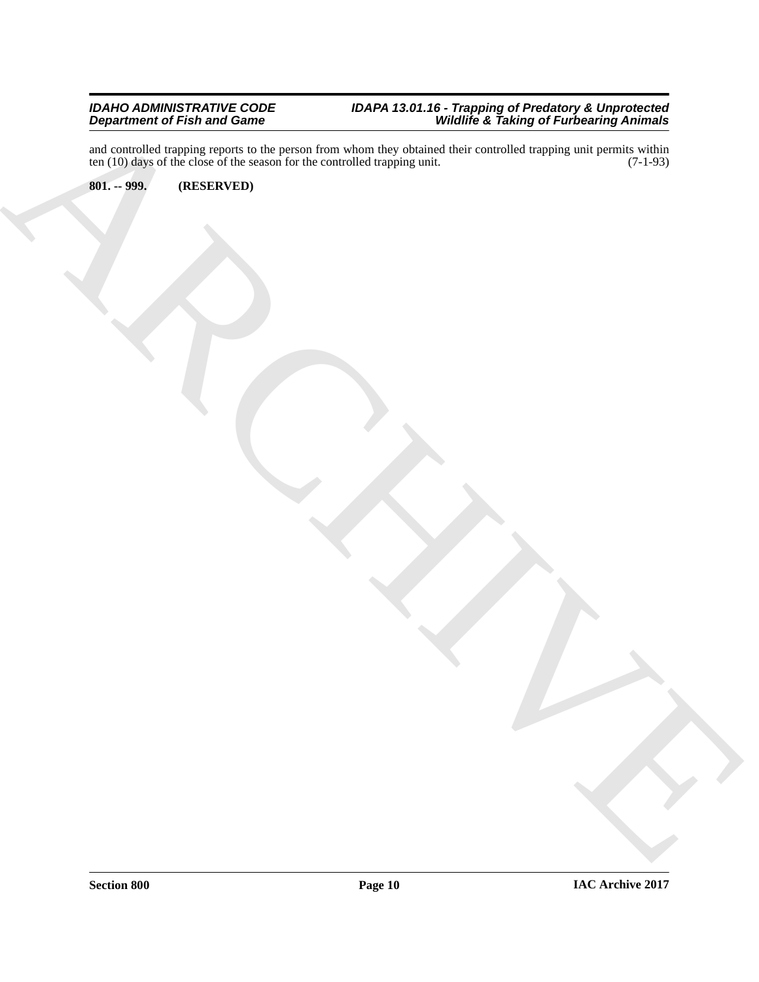ARCHIVE and controlled trapping reports to the person from whom they obtained their controlled trapping unit permits within ten (10) days of the close of the season for the controlled trapping unit. (7-1-93)

### <span id="page-9-0"></span>**801. -- 999. (RESERVED)**